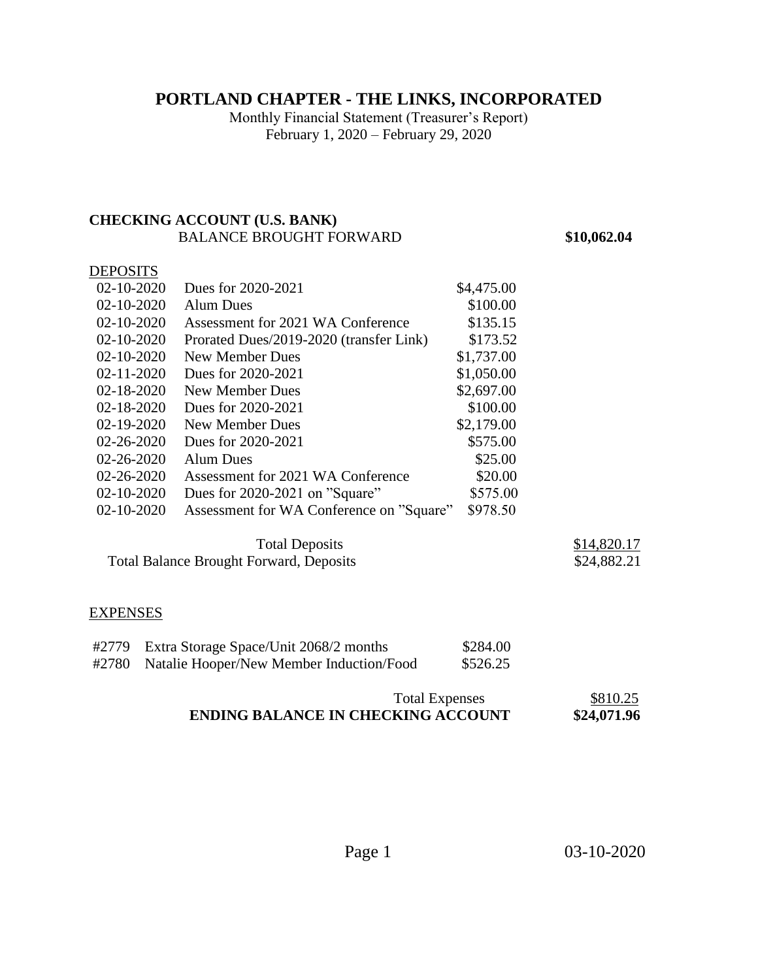## **PORTLAND CHAPTER - THE LINKS, INCORPORATED**

Monthly Financial Statement (Treasurer's Report) February 1, 2020 – February 29, 2020

## **CHECKING ACCOUNT (U.S. BANK)**  BALANCE BROUGHT FORWARD **\$10,062.04**

## **DEPOSITS**

| $02 - 10 - 2020$ | Dues for 2020-2021                       | \$4,475.00 |  |
|------------------|------------------------------------------|------------|--|
| $02 - 10 - 2020$ | Alum Dues                                | \$100.00   |  |
| $02 - 10 - 2020$ | Assessment for 2021 WA Conference        | \$135.15   |  |
| $02 - 10 - 2020$ | Prorated Dues/2019-2020 (transfer Link)  | \$173.52   |  |
| $02 - 10 - 2020$ | New Member Dues                          | \$1,737.00 |  |
| $02 - 11 - 2020$ | Dues for 2020-2021                       | \$1,050.00 |  |
| $02 - 18 - 2020$ | New Member Dues                          | \$2,697.00 |  |
| 02-18-2020       | Dues for 2020-2021                       | \$100.00   |  |
| $02 - 19 - 2020$ | New Member Dues                          | \$2,179.00 |  |
| $02 - 26 - 2020$ | Dues for 2020-2021                       | \$575.00   |  |
| $02 - 26 - 2020$ | <b>Alum Dues</b>                         | \$25.00    |  |
| $02 - 26 - 2020$ | Assessment for 2021 WA Conference        | \$20.00    |  |
| $02 - 10 - 2020$ | Dues for 2020-2021 on "Square"           | \$575.00   |  |
| $02 - 10 - 2020$ | Assessment for WA Conference on "Square" | \$978.50   |  |
|                  |                                          |            |  |

Total Deposits  $\frac{$14,820.17}{24,882.21}$ Total Balance Brought Forward, Deposits

#### EXPENSES

| #2779 | Extra Storage Space/Unit 2068/2 months         | \$284.00 |
|-------|------------------------------------------------|----------|
|       | #2780 Natalie Hooper/New Member Induction/Food | \$526.25 |

## Total Expenses \$810.25<br>KING ACCOUNT \$24,071.96 **ENDING BALANCE IN CHECKING ACCOUNT**